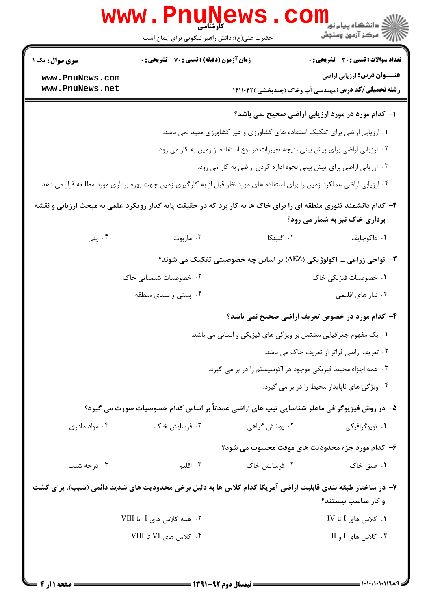|                                                                                                                                                     | <b>www.PnuNews</b><br>حضرت علی(ع): دانش راهبر نیکویی برای ایمان است                                                       |                                                                                    | راد دانشگاه پيام نور <mark>−</mark><br>ا <mark>ر</mark> درکز آزمون وسنجش                          |  |  |  |
|-----------------------------------------------------------------------------------------------------------------------------------------------------|---------------------------------------------------------------------------------------------------------------------------|------------------------------------------------------------------------------------|---------------------------------------------------------------------------------------------------|--|--|--|
| <b>سری سوال :</b> یک ۱                                                                                                                              | زمان آزمون (دقیقه) : تستی : 70 گشریحی : 0                                                                                 |                                                                                    | <b>تعداد سوالات : تستی : 30 ٪ تشریحی : 0</b>                                                      |  |  |  |
| www.PnuNews.com<br>www.PnuNews.net                                                                                                                  |                                                                                                                           |                                                                                    | <b>عنـــوان درس:</b> ارزیابی اراضی<br><b>رشته تحصیلی/کد درس:</b> مهندسی آب وخاک (چندبخشی )۱۴۱۱۰۴۲ |  |  |  |
|                                                                                                                                                     | ا- کدام مورد در مورد ارزیابی اراضی صحیح <u>نمی باشد؟</u>                                                                  |                                                                                    |                                                                                                   |  |  |  |
|                                                                                                                                                     |                                                                                                                           | ۰۱ ارزیابی اراضی برای تفکیک استفاده های کشاورزی و غیر کشاورزی مفید نمی باشد.       |                                                                                                   |  |  |  |
|                                                                                                                                                     |                                                                                                                           | ۰۲ ارزیابی اراضی برای پیش بینی نتیجه تغییرات در نوع استفاده از زمین به کار می رود. |                                                                                                   |  |  |  |
|                                                                                                                                                     |                                                                                                                           | ۰۳ ارزیابی اراضی برای پیش بینی نحوه اداره کردن اراضی به کار می رود.                |                                                                                                   |  |  |  |
|                                                                                                                                                     | ۰۴ ارزیابی اراضی عملکرد زمین را برای استفاده های مورد نظر قبل از به کارگیری زمین جهت بهره برداری مورد مطالعه قرار می دهد. |                                                                                    |                                                                                                   |  |  |  |
| ۲- کدام دانشمند تئوری منطقه ای را برای خاک ها به کار برد که در حقیقت پایه گذار رویکرد علمی به مبحث ارزیابی و نقشه<br>برداری خاک نیز به شمار می رود؟ |                                                                                                                           |                                                                                    |                                                                                                   |  |  |  |
| ۰۴ پنی                                                                                                                                              | ۰۳ ماربوت                                                                                                                 | ۰۲ گلینکا                                                                          | ۰۱ داکوچايف                                                                                       |  |  |  |
|                                                                                                                                                     |                                                                                                                           |                                                                                    | ۳- نواحی زراعی ــ اکولوژیکی (AEZ) بر اساس چه خصوصیتی تفکیک می شوند؟                               |  |  |  |
|                                                                                                                                                     | ۰۲ خصوصیات شیمیایی خاک                                                                                                    |                                                                                    | ۰۱ خصوصیات فیزیکی خاک                                                                             |  |  |  |
|                                                                                                                                                     | ۰۴ پستی و بلندی منطقه                                                                                                     |                                                                                    | ۰۳ نیاز های اقلیمی                                                                                |  |  |  |
|                                                                                                                                                     |                                                                                                                           |                                                                                    | ۴- کدام مورد در خصوص تعریف اراضی صحیح <u>نمی</u> باشد؟                                            |  |  |  |
|                                                                                                                                                     |                                                                                                                           | ۰۱ یک مفهوم جغرافیایی مشتمل بر ویژگی های فیزیکی و انسانی می باشد.                  |                                                                                                   |  |  |  |
|                                                                                                                                                     |                                                                                                                           |                                                                                    | ۰۲ تعریف اراضی فراتر از تعریف خاک می باشد.                                                        |  |  |  |
|                                                                                                                                                     | ۰۳ همه اجزاء محیط فیزیکی موجود در اکوسیستم را در بر می گیرد.                                                              |                                                                                    |                                                                                                   |  |  |  |
|                                                                                                                                                     |                                                                                                                           |                                                                                    | ۰۴ ویژگی های ناپایدار محیط را در بر می گیرد.                                                      |  |  |  |
|                                                                                                                                                     | ۵– در روش فیزیوگرافی ماهلر شناسایی تیپ های اراضی عمدتاً بر اساس کدام خصوصیات صورت می گیرد؟                                |                                                                                    |                                                                                                   |  |  |  |
| ۰۴ مواد مادری                                                                                                                                       | ۰۳ فرسایش خاک                                                                                                             | ۰۲ یوشش گیاهی                                                                      | ۰۱ توپوگرافیکی                                                                                    |  |  |  |
|                                                                                                                                                     |                                                                                                                           |                                                                                    | ۶- کدام مورد جزء محدودیت های موقت محسوب می شود؟                                                   |  |  |  |
| ۰۴ درجه شیب                                                                                                                                         | ۰۳ اقلیم                                                                                                                  | ۰۲ فرسایش خاک                                                                      | ۰۱ عمق خاک                                                                                        |  |  |  |
| ۷– در ساختار طبقه بندی قابلیت اراضی آمریکا کدام کلاس ها به دلیل برخی محدودیت های شدید دائمی (شیب)، برای کشت<br>و کار مناسب نیستند؟                  |                                                                                                                           |                                                                                    |                                                                                                   |  |  |  |
|                                                                                                                                                     | ۰۲ همه کلاس های I تا VIII                                                                                                 |                                                                                    | $IV$ 1 کلاس های $I$ تا $V$                                                                        |  |  |  |
|                                                                                                                                                     | ۰۴ کلاس های VI تا VIII                                                                                                    |                                                                                    | ۰۳ کلاس های I و II                                                                                |  |  |  |
|                                                                                                                                                     |                                                                                                                           |                                                                                    |                                                                                                   |  |  |  |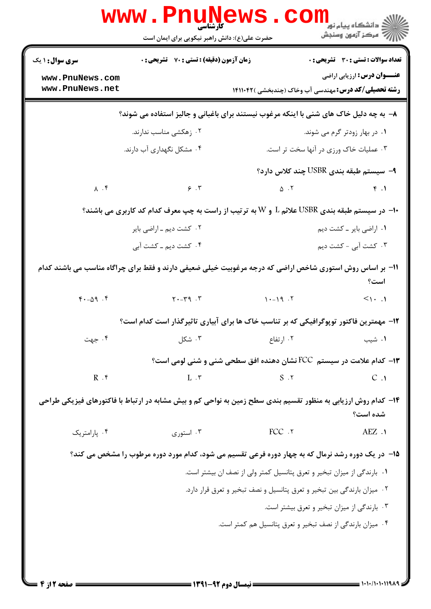|                                                                                                                           | www.Pnu<br><b>کارشناسی</b><br>حضرت علی(ع): دانش راهبر نیکویی برای ایمان است                      |                                                                   | ≦ دانشگاه پيام نو <mark>ر</mark><br>أأزأته مركز آزمون وسنجش                                       |  |  |  |
|---------------------------------------------------------------------------------------------------------------------------|--------------------------------------------------------------------------------------------------|-------------------------------------------------------------------|---------------------------------------------------------------------------------------------------|--|--|--|
| <b>سری سوال : ۱ یک</b>                                                                                                    | <b>زمان آزمون (دقیقه) : تستی : 70 ٪ تشریحی : 0</b>                                               |                                                                   | <b>تعداد سوالات : تستي : 30 ٪ تشريحي : 0</b>                                                      |  |  |  |
| www.PnuNews.com<br>www.PnuNews.net                                                                                        |                                                                                                  |                                                                   | <b>عنـــوان درس:</b> ارزیابی اراضی<br><b>رشته تحصیلی/کد درس:</b> مهندسی آب وخاک (چندبخشی )۱۴۱۱۰۴۲ |  |  |  |
| ۸- به چه دلیل خاک های شنی با اینکه مرغوب نیستند برای باغبانی و جالیز استفاده می شوند؟                                     |                                                                                                  |                                                                   |                                                                                                   |  |  |  |
|                                                                                                                           | ۰۲ زهکشی مناسب ندارند.                                                                           |                                                                   | ۰۱ در بهار زودتر گرم می شوند.                                                                     |  |  |  |
|                                                                                                                           | ۰۴ مشکل نگهداری آب دارند.                                                                        |                                                                   | ۰۳ عملیات خاک ورزی در آنها سخت تر است.                                                            |  |  |  |
|                                                                                                                           |                                                                                                  |                                                                   | ۹- سیستم طبقه بندی USBR چند کلاس دارد؟                                                            |  |  |  |
| $\lambda$ . $\zeta$                                                                                                       | $\epsilon$ . T                                                                                   |                                                                   |                                                                                                   |  |  |  |
|                                                                                                                           | +ا– در سیستم طبقه بندی USBR علائم L و W به ترتیب از راست به چپ معرف کدام کد کاربری می باشند؟     |                                                                   |                                                                                                   |  |  |  |
|                                                                                                                           | ۰۲ کشت دیم ـ اراضی بایر                                                                          |                                                                   | ٠١ اراضي باير ـ كشت ديم                                                                           |  |  |  |
|                                                                                                                           | ۰۴ کشت دیم ــ کشت آبی                                                                            |                                                                   | ۰۳ کشت آبی - کشت دیم                                                                              |  |  |  |
| 11– بر اساس روش استوری شاخص اراضی که درجه مرغوبیت خیلی ضعیفی دارند و فقط برای چراگاه مناسب می باشند کدام<br>است؟          |                                                                                                  |                                                                   |                                                                                                   |  |  |  |
| $f - \Delta q$ .                                                                                                          | $Y - Y^2$                                                                                        | $\uparrow$ $\uparrow$ $\uparrow$ $\uparrow$ $\uparrow$ $\uparrow$ | $\langle \cdot , \cdot , \cdot \rangle$                                                           |  |  |  |
|                                                                                                                           | ۱۲- مهمترین فاکتور توپوگرافیکی که بر تناسب خاک ها برای آبیاری تاثیرگذار است کدام است؟            |                                                                   |                                                                                                   |  |  |  |
| ۰۴ جهت                                                                                                                    | ۰۳ شکل                                                                                           | ۰۲ ارتفاع                                                         | ۰۱ شیب                                                                                            |  |  |  |
|                                                                                                                           |                                                                                                  |                                                                   | ۱۳- کدام علامت در سیستم  FCC نشان دهنده افق سطحی شنی و شنی لومی است؟                              |  |  |  |
| $R$ . $f$                                                                                                                 | $L \cdot \tau$                                                                                   | $S \cdot Y$                                                       | C.1                                                                                               |  |  |  |
| ۱۴– کدام روش ارزیابی به منظور تقسیم بندی سطح زمین به نواحی کم و بیش مشابه در ارتباط با فاکتورهای فیزیکی طراحی<br>شده است؟ |                                                                                                  |                                                                   |                                                                                                   |  |  |  |
| ۰۴ پارامتریک                                                                                                              | ۰۳ استوری                                                                                        | FCC .٢                                                            | $AEZ$ .                                                                                           |  |  |  |
|                                                                                                                           | ۱۵– در یک دوره رشد نرمال که به چهار دوره فرعی تقسیم می شود، کدام مورد دوره مرطوب را مشخص می کند؟ |                                                                   |                                                                                                   |  |  |  |
|                                                                                                                           |                                                                                                  |                                                                   | ۰۱ بارندگی از میزان تبخیر و تعرق پتانسیل کمتر ولی از نصف ان بیشتر است.                            |  |  |  |
|                                                                                                                           |                                                                                                  |                                                                   | ۰۲ میزان بارندگی بین تبخیر و تعرق پتانسیل و نصف تبخیر و تعرق قرار دارد.                           |  |  |  |
|                                                                                                                           | ۰۳ بارندگی از میزان تبخیر و تعرق بیشتر است.                                                      |                                                                   |                                                                                                   |  |  |  |
| ۰۴ میزان بارندگی از نصف تبخیر و تعرق پتانسیل هم کمتر است.                                                                 |                                                                                                  |                                                                   |                                                                                                   |  |  |  |
|                                                                                                                           |                                                                                                  |                                                                   |                                                                                                   |  |  |  |
|                                                                                                                           |                                                                                                  |                                                                   |                                                                                                   |  |  |  |
|                                                                                                                           |                                                                                                  |                                                                   |                                                                                                   |  |  |  |

 $= 1.1 - (1.1119)$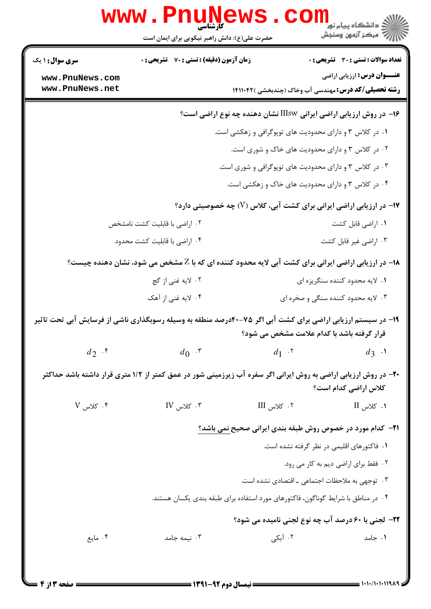|                                    |                                               | <b>www.PnuNews</b>                                                | ران دانشگاه پيام نور<br>دانشگاه پيام نور<br>داران درکز آزمون وسنجش                                                                                        |  |  |
|------------------------------------|-----------------------------------------------|-------------------------------------------------------------------|-----------------------------------------------------------------------------------------------------------------------------------------------------------|--|--|
|                                    | حضرت علی(ع): دانش راهبر نیکویی برای ایمان است |                                                                   |                                                                                                                                                           |  |  |
| <b>سری سوال : ۱ یک</b>             | زمان آزمون (دقیقه) : تستی : 70 گشریحی : 0     |                                                                   | <b>تعداد سوالات : تستی : 30 ٪ تشریحی : 0</b>                                                                                                              |  |  |
| www.PnuNews.com<br>www.PnuNews.net |                                               |                                                                   | <b>عنـــوان درس:</b> ارزیابی اراضی<br><b>رشته تحصیلی/کد درس:</b> مهندسی آب وخاک (چندبخشی )۱۴۱۱۰۴۲                                                         |  |  |
|                                    |                                               |                                                                   | ۱۶– در روش ارزیابی اراضی ایرانی IIIsw نشان دهنده چه نوع اراضی است؟                                                                                        |  |  |
|                                    |                                               |                                                                   | ۰۱ در کلاس ۳ و دارای محدودیت های توپوگرافی و زهکشی است.                                                                                                   |  |  |
|                                    |                                               | ۰۲ در کلاس ۳ و دارای محدودیت های خاک و شوری است.                  |                                                                                                                                                           |  |  |
|                                    |                                               |                                                                   | ۰۳ در کلاس ۳ و دارای محدودیت های توپوگرافی و شوری است.                                                                                                    |  |  |
|                                    |                                               |                                                                   | ۰۴ در کلاس ۳ و دارای محدودیت های خاک و زهکشی است.                                                                                                         |  |  |
|                                    |                                               |                                                                   | ۱۷- در ارزیابی اراضی ایرانی برای کشت آبی، کلاس (V) چه خصوصیتی دارد؟                                                                                       |  |  |
| ۰۲ اراضی با قابلیت کشت نامشخص      |                                               |                                                                   | ۰۱ اراضی قابل کشت                                                                                                                                         |  |  |
|                                    | ۰۴ اراضی با قابلیت کشت محدود                  |                                                                   | ۰۳ اراضی غیر قابل کشت                                                                                                                                     |  |  |
|                                    |                                               |                                                                   | <b>۱۸</b> - در ارزیابی اراضی ایرانی برای کشت آبی لایه محدود کننده ای که با Z مشخص می شود، نشان دهنده چیست؟                                                |  |  |
| ۰۲ لایه غنی از گچ                  |                                               |                                                                   | ۰۱ لايه محدود كننده سنگريزه اي                                                                                                                            |  |  |
|                                    | ۰۴ لایه غنی از آهک                            |                                                                   | ۰۳ لایه محدود کننده سنگی و صخره ای                                                                                                                        |  |  |
|                                    |                                               |                                                                   | ۱۹- در سیستم ارزیابی اراضی برای کشت آبی اگر ۷۵-۴۰درصد منطقه به وسیله رسوبگذاری ناشی از فرسایش آبی تحت تاثیر<br>قرار گرفته باشد با کدام علامت مشخص می شود؟ |  |  |
| $d_2$ .                            | $d_0$ .                                       | $d_1$ . $\mathbf{v}$                                              | $d_3$ $\cdot$                                                                                                                                             |  |  |
|                                    |                                               |                                                                   | ۲۰- در روش ارزیابی اراضی به روش ایرانی اگر سفره آب زیرزمینی شور در عمق کمتر از ۱/۲ متری قرار داشته باشد حداکثر<br>كلاس اراضى كدام است؟                    |  |  |
| $V_{\text{out}}$ کلاس              | $IV_{\text{tot}}$ کلاس $\cdot$ ۳              | ۰۲ کلاس III                                                       | $II$ كلاس $II$                                                                                                                                            |  |  |
|                                    |                                               | <b>۲۱</b> - کدام مورد در خصوص روش طبقه بندی ایرانی صحیح نمی باشد؟ |                                                                                                                                                           |  |  |
|                                    |                                               |                                                                   | ۰۱ فاکتورهای اقلیمی در نظر گرفته نشده است.                                                                                                                |  |  |
|                                    |                                               |                                                                   | ٠٢ فقط براي اراضي ديم به كار مي رود.                                                                                                                      |  |  |
|                                    |                                               | ۰۳ توجهی به ملاحظات اجتماعی ـ اقتصادی نشده است.                   |                                                                                                                                                           |  |  |
|                                    |                                               |                                                                   | ۰۴ در مناطق با شرایط گوناگون، فاکتورهای مورد استفاده برای طبقه بندی یکسان هستند.                                                                          |  |  |
|                                    |                                               |                                                                   | 22- لجنی با 60 درصد آب چه نوع لجنی نامیده می شود؟                                                                                                         |  |  |
| ۰۴ مايع                            | ۰۳ نیمه جامد                                  | ۰۲ آبکی                                                           | ۰۱ جامد                                                                                                                                                   |  |  |

 $= 1.1 - 11.119A$ 

**= نیمسال دوم ۹۲-۱۳۹۱ <del>-</del>**